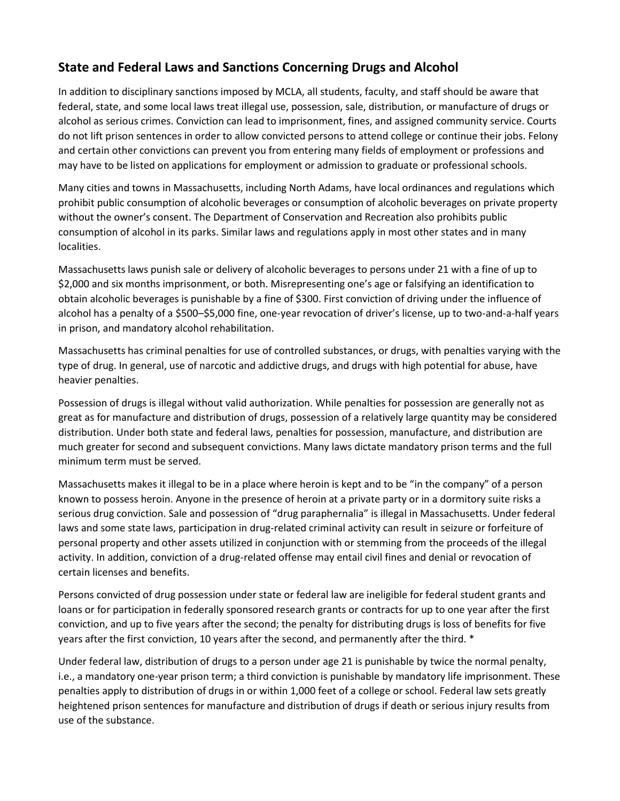## **State and Federal Laws and Sanctions Concerning Drugs and Alcohol**

In addition to disciplinary sanctions imposed by MCLA, all students, faculty, and staff should be aware that federal, state, and some local laws treat illegal use, possession, sale, distribution, or manufacture of drugs or alcohol as serious crimes. Conviction can lead to imprisonment, fines, and assigned community service. Courts do not lift prison sentences in order to allow convicted persons to attend college or continue their jobs. Felony and certain other convictions can prevent you from entering many fields of employment or professions and may have to be listed on applications for employment or admission to graduate or professional schools.

Many cities and towns in Massachusetts, including North Adams, have local ordinances and regulations which prohibit public consumption of alcoholic beverages or consumption of alcoholic beverages on private property without the owner's consent. The Department of Conservation and Recreation also prohibits public consumption of alcohol in its parks. Similar laws and regulations apply in most other states and in many localities.

Massachusetts laws punish sale or delivery of alcoholic beverages to persons under 21 with a fine of up to \$2,000 and six months imprisonment, or both. Misrepresenting one's age or falsifying an identification to obtain alcoholic beverages is punishable by a fine of \$300. First conviction of driving under the influence of alcohol has a penalty of a \$500–\$5,000 fine, one-year revocation of driver's license, up to two-and-a-half years in prison, and mandatory alcohol rehabilitation.

Massachusetts has criminal penalties for use of controlled substances, or drugs, with penalties varying with the type of drug. In general, use of narcotic and addictive drugs, and drugs with high potential for abuse, have heavier penalties.

Possession of drugs is illegal without valid authorization. While penalties for possession are generally not as great as for manufacture and distribution of drugs, possession of a relatively large quantity may be considered distribution. Under both state and federal laws, penalties for possession, manufacture, and distribution are much greater for second and subsequent convictions. Many laws dictate mandatory prison terms and the full minimum term must be served.

Massachusetts makes it illegal to be in a place where heroin is kept and to be "in the company" of a person known to possess heroin. Anyone in the presence of heroin at a private party or in a dormitory suite risks a serious drug conviction. Sale and possession of "drug paraphernalia" is illegal in Massachusetts. Under federal laws and some state laws, participation in drug-related criminal activity can result in seizure or forfeiture of personal property and other assets utilized in conjunction with or stemming from the proceeds of the illegal activity. In addition, conviction of a drug-related offense may entail civil fines and denial or revocation of certain licenses and benefits.

Persons convicted of drug possession under state or federal law are ineligible for federal student grants and loans or for participation in federally sponsored research grants or contracts for up to one year after the first conviction, and up to five years after the second; the penalty for distributing drugs is loss of benefits for five years after the first conviction, 10 years after the second, and permanently after the third. \*

Under federal law, distribution of drugs to a person under age 21 is punishable by twice the normal penalty, i.e., a mandatory one-year prison term; a third conviction is punishable by mandatory life imprisonment. These penalties apply to distribution of drugs in or within 1,000 feet of a college or school. Federal law sets greatly heightened prison sentences for manufacture and distribution of drugs if death or serious injury results from use of the substance.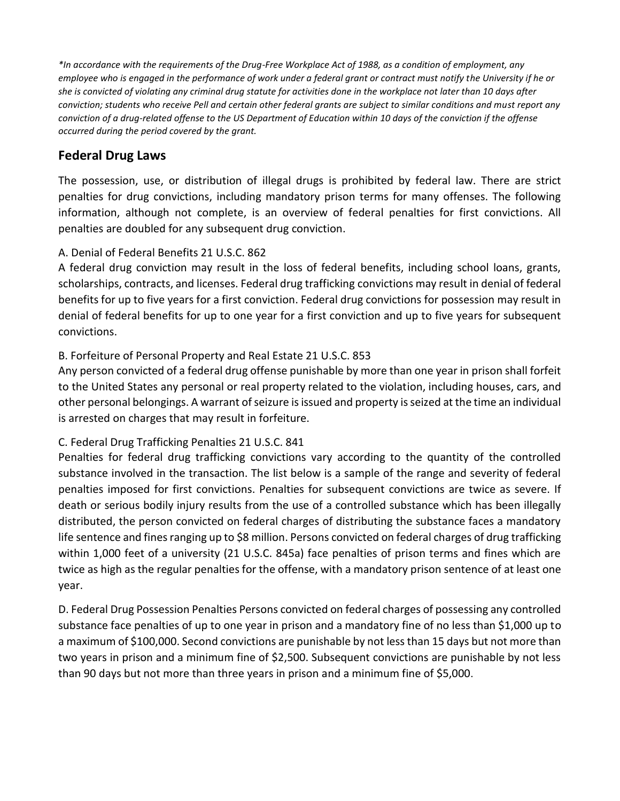*\*In accordance with the requirements of the Drug-Free Workplace Act of 1988, as a condition of employment, any employee who is engaged in the performance of work under a federal grant or contract must notify the University if he or she is convicted of violating any criminal drug statute for activities done in the workplace not later than 10 days after conviction; students who receive Pell and certain other federal grants are subject to similar conditions and must report any conviction of a drug-related offense to the US Department of Education within 10 days of the conviction if the offense occurred during the period covered by the grant.*

# **Federal Drug Laws**

The possession, use, or distribution of illegal drugs is prohibited by federal law. There are strict penalties for drug convictions, including mandatory prison terms for many offenses. The following information, although not complete, is an overview of federal penalties for first convictions. All penalties are doubled for any subsequent drug conviction.

### A. Denial of Federal Benefits 21 U.S.C. 862

A federal drug conviction may result in the loss of federal benefits, including school loans, grants, scholarships, contracts, and licenses. Federal drug trafficking convictions may result in denial of federal benefits for up to five years for a first conviction. Federal drug convictions for possession may result in denial of federal benefits for up to one year for a first conviction and up to five years for subsequent convictions.

### B. Forfeiture of Personal Property and Real Estate 21 U.S.C. 853

Any person convicted of a federal drug offense punishable by more than one year in prison shall forfeit to the United States any personal or real property related to the violation, including houses, cars, and other personal belongings. A warrant of seizure is issued and property is seized at the time an individual is arrested on charges that may result in forfeiture.

#### C. Federal Drug Trafficking Penalties 21 U.S.C. 841

Penalties for federal drug trafficking convictions vary according to the quantity of the controlled substance involved in the transaction. The list below is a sample of the range and severity of federal penalties imposed for first convictions. Penalties for subsequent convictions are twice as severe. If death or serious bodily injury results from the use of a controlled substance which has been illegally distributed, the person convicted on federal charges of distributing the substance faces a mandatory life sentence and fines ranging up to \$8 million. Persons convicted on federal charges of drug trafficking within 1,000 feet of a university (21 U.S.C. 845a) face penalties of prison terms and fines which are twice as high as the regular penalties for the offense, with a mandatory prison sentence of at least one year.

D. Federal Drug Possession Penalties Persons convicted on federal charges of possessing any controlled substance face penalties of up to one year in prison and a mandatory fine of no less than \$1,000 up to a maximum of \$100,000. Second convictions are punishable by not less than 15 days but not more than two years in prison and a minimum fine of \$2,500. Subsequent convictions are punishable by not less than 90 days but not more than three years in prison and a minimum fine of \$5,000.